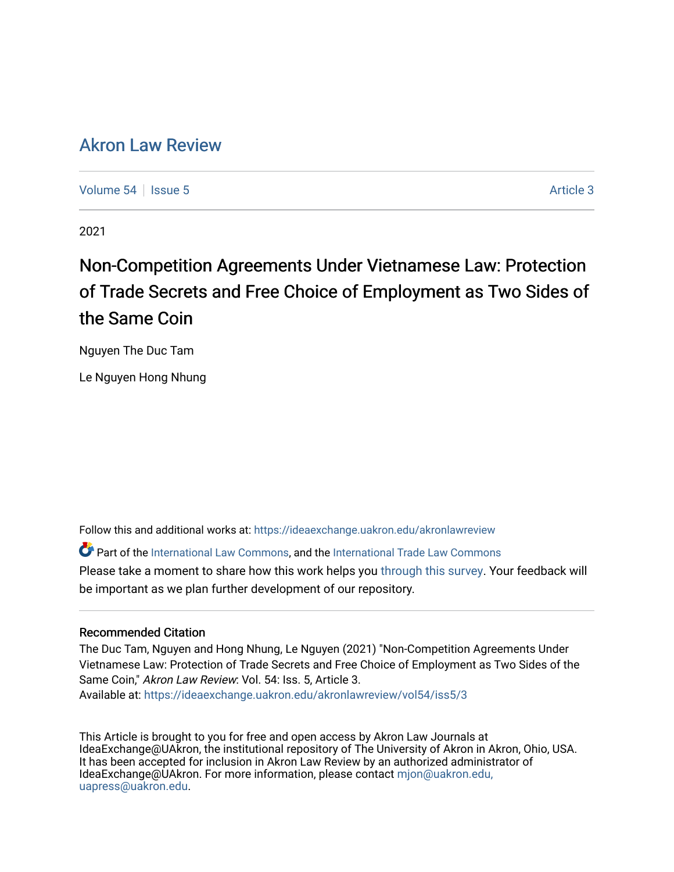# [Akron Law Review](https://ideaexchange.uakron.edu/akronlawreview)

[Volume 54](https://ideaexchange.uakron.edu/akronlawreview/vol54) Session 5 Article 3

2021

# Non-Competition Agreements Under Vietnamese Law: Protection of Trade Secrets and Free Choice of Employment as Two Sides of the Same Coin

Nguyen The Duc Tam

Le Nguyen Hong Nhung

Follow this and additional works at: [https://ideaexchange.uakron.edu/akronlawreview](https://ideaexchange.uakron.edu/akronlawreview?utm_source=ideaexchange.uakron.edu%2Fakronlawreview%2Fvol54%2Fiss5%2F3&utm_medium=PDF&utm_campaign=PDFCoverPages)

Part of the [International Law Commons,](http://network.bepress.com/hgg/discipline/609?utm_source=ideaexchange.uakron.edu%2Fakronlawreview%2Fvol54%2Fiss5%2F3&utm_medium=PDF&utm_campaign=PDFCoverPages) and the [International Trade Law Commons](http://network.bepress.com/hgg/discipline/848?utm_source=ideaexchange.uakron.edu%2Fakronlawreview%2Fvol54%2Fiss5%2F3&utm_medium=PDF&utm_campaign=PDFCoverPages)  Please take a moment to share how this work helps you [through this survey](http://survey.az1.qualtrics.com/SE/?SID=SV_eEVH54oiCbOw05f&URL=https://ideaexchange.uakron.edu/akronlawreview/vol54/iss5/3). Your feedback will be important as we plan further development of our repository.

# Recommended Citation

The Duc Tam, Nguyen and Hong Nhung, Le Nguyen (2021) "Non-Competition Agreements Under Vietnamese Law: Protection of Trade Secrets and Free Choice of Employment as Two Sides of the Same Coin," Akron Law Review: Vol. 54: Iss. 5, Article 3. Available at: [https://ideaexchange.uakron.edu/akronlawreview/vol54/iss5/3](https://ideaexchange.uakron.edu/akronlawreview/vol54/iss5/3?utm_source=ideaexchange.uakron.edu%2Fakronlawreview%2Fvol54%2Fiss5%2F3&utm_medium=PDF&utm_campaign=PDFCoverPages) 

This Article is brought to you for free and open access by Akron Law Journals at IdeaExchange@UAkron, the institutional repository of The University of Akron in Akron, Ohio, USA. It has been accepted for inclusion in Akron Law Review by an authorized administrator of IdeaExchange@UAkron. For more information, please contact [mjon@uakron.edu,](mailto:mjon@uakron.edu,%20uapress@uakron.edu) [uapress@uakron.edu.](mailto:mjon@uakron.edu,%20uapress@uakron.edu)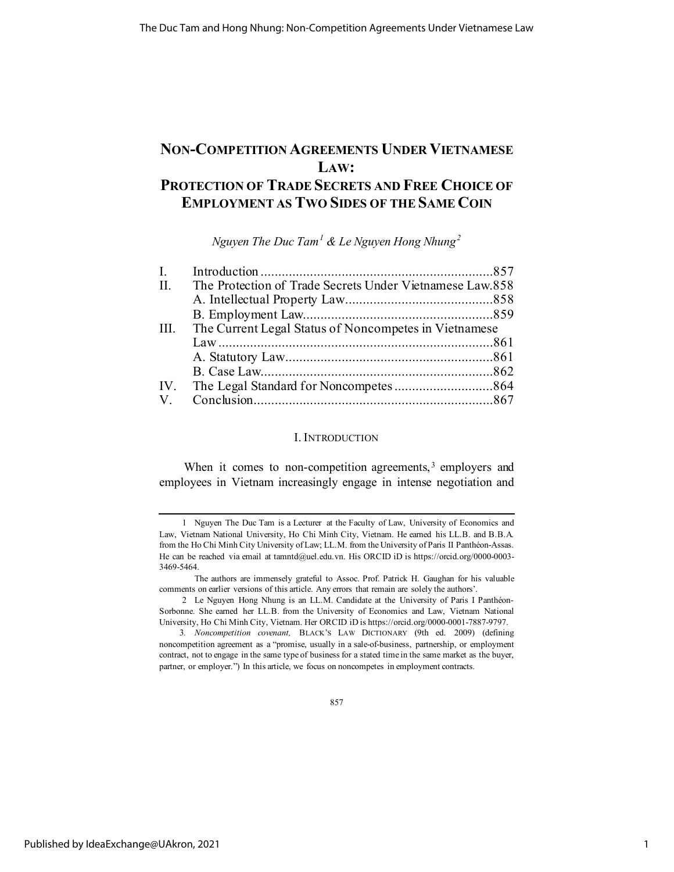# **NON-COMPETITION AGREEMENTS UNDER VIETNAMESE LAW: PROTECTION OF TRADE SECRETS AND FREE CHOICE OF EMPLOYMENT AS TWO SIDES OF THE SAME COIN**

*Nguyen The Duc Tam[1](#page-1-0) & Le Nguyen Hong Nhung[2](#page-1-1)*

| $\mathbf{I}$ . |                                                          |  |
|----------------|----------------------------------------------------------|--|
| II.            | The Protection of Trade Secrets Under Vietnamese Law.858 |  |
|                |                                                          |  |
|                |                                                          |  |
| III.           | The Current Legal Status of Noncompetes in Vietnamese    |  |
|                |                                                          |  |
|                |                                                          |  |
|                |                                                          |  |
|                |                                                          |  |
| $V_{\perp}$    |                                                          |  |

# I. INTRODUCTION

When it comes to non-competition agreements,<sup>[3](#page-1-2)</sup> employers and employees in Vietnam increasingly engage in intense negotiation and

857

<span id="page-1-0"></span><sup>1</sup> Nguyen The Duc Tam is a Lecturer at the Faculty of Law, University of Economics and Law, Vietnam National University, Ho Chi Minh City, Vietnam. He earned his LL.B. and B.B.A. from the Ho Chi Minh City University of Law; LL.M. from the University of Paris II Panthéon-Assas. He can be reached via email at tamntd@uel.edu.vn. His ORCID iD is https://orcid.org/0000-0003-3469-5464.

The authors are immensely grateful to Assoc. Prof. Patrick H. Gaughan for his valuable comments on earlier versions of this article. Any errors that remain are solely the authors'.

<span id="page-1-1"></span><sup>2</sup> Le Nguyen Hong Nhung is an LL.M. Candidate at the University of Paris I Panthéon-Sorbonne. She earned her LL.B. from the University of Economics and Law, Vietnam National University, Ho Chi Minh City, Vietnam. Her ORCID iD is https://orcid.org/0000-0001-7887-9797.

<span id="page-1-2"></span><sup>3</sup>*. Noncompetition covenant,* BLACK'S LAW DICTIONARY (9th ed. 2009) (defining noncompetition agreement as a "promise, usually in a sale-of-business, partnership, or employment contract, not to engage in the same type of business for a stated time in the same market as the buyer, partner, or employer.") In this article, we focus on noncompetes in employment contracts.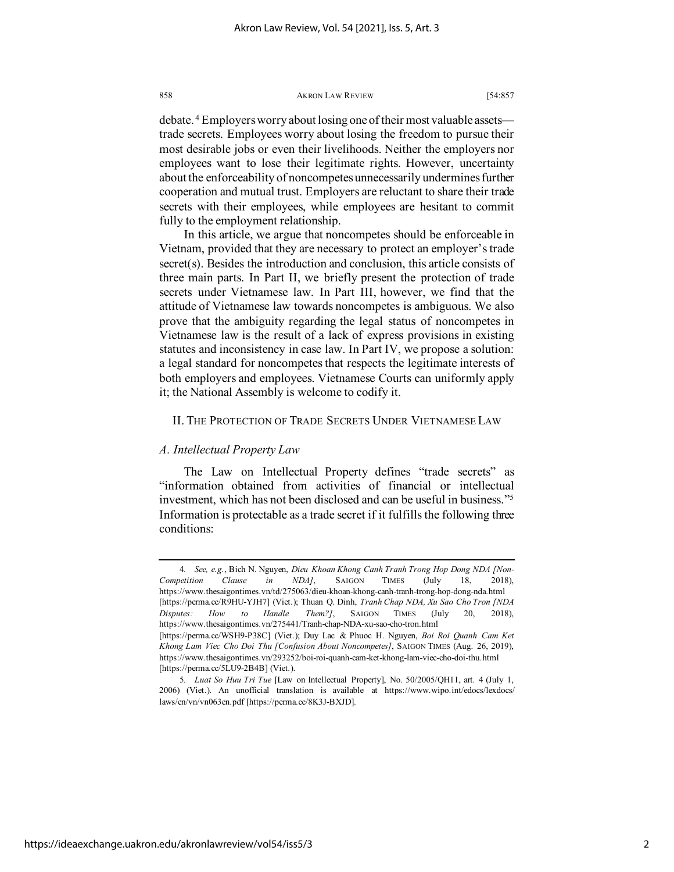debate. [4](#page-2-0) Employers worry about losing one of their most valuable assets trade secrets. Employees worry about losing the freedom to pursue their most desirable jobs or even their livelihoods. Neither the employers nor employees want to lose their legitimate rights. However, uncertainty about the enforceability of noncompetes unnecessarily undermines further cooperation and mutual trust. Employers are reluctant to share their trade secrets with their employees, while employees are hesitant to commit fully to the employment relationship.

In this article, we argue that noncompetes should be enforceable in Vietnam, provided that they are necessary to protect an employer's trade secret(s). Besides the introduction and conclusion, this article consists of three main parts. In Part II, we briefly present the protection of trade secrets under Vietnamese law. In Part III, however, we find that the attitude of Vietnamese law towards noncompetes is ambiguous. We also prove that the ambiguity regarding the legal status of noncompetes in Vietnamese law is the result of a lack of express provisions in existing statutes and inconsistency in case law. In Part IV, we propose a solution: a legal standard for noncompetes that respects the legitimate interests of both employers and employees. Vietnamese Courts can uniformly apply it; the National Assembly is welcome to codify it.

# II. THE PROTECTION OF TRADE SECRETS UNDER VIETNAMESE LAW

# *A. Intellectual Property Law*

The Law on Intellectual Property defines "trade secrets" as "information obtained from activities of financial or intellectual investment, which has not been disclosed and can be useful in business.["5](#page-2-1) Information is protectable as a trade secret if it fulfills the following three conditions:

<span id="page-2-0"></span><sup>4</sup>*. See, e.g.*, Bich N. Nguyen, *Dieu Khoan Khong Canh Tranh Trong Hop Dong NDA [Non-Competition Clause in NDA]*, SAIGON TIMES (July 18, 2018), https://www.thesaigontimes.vn/td/275063/dieu-khoan-khong-canh-tranh-trong-hop-dong-nda.html [https://perma.cc/R9HU-YJH7] (Viet.); Thuan Q. Dinh, *Tranh Chap NDA, Xu Sao Cho Tron [NDA Disputes: How to Handle Them?]*, SAIGON TIMES (July 20, 2018), https://www.thesaigontimes.vn/275441/Tranh-chap-NDA-xu-sao-cho-tron.html [https://perma.cc/WSH9-P38C] (Viet.); Duy Lac & Phuoc H. Nguyen, *Boi Roi Quanh Cam Ket Khong Lam Viec Cho Doi Thu [Confusion About Noncompetes]*, SAIGON TIMES (Aug. 26, 2019), https://www.thesaigontimes.vn/293252/boi-roi-quanh-cam-ket-khong-lam-viec-cho-doi-thu.html [https://perma.cc/5LU9-2B4B] (Viet.).

<span id="page-2-1"></span><sup>5</sup>*. Luat So Huu Tri Tue* [Law on Intellectual Property], No. 50/2005/QH11, art. 4 (July 1, 2006) (Viet.). An unofficial translation is available at https://www.wipo.int/edocs/lexdocs/ laws/en/vn/vn063en.pdf [https://perma.cc/8K3J-BXJD].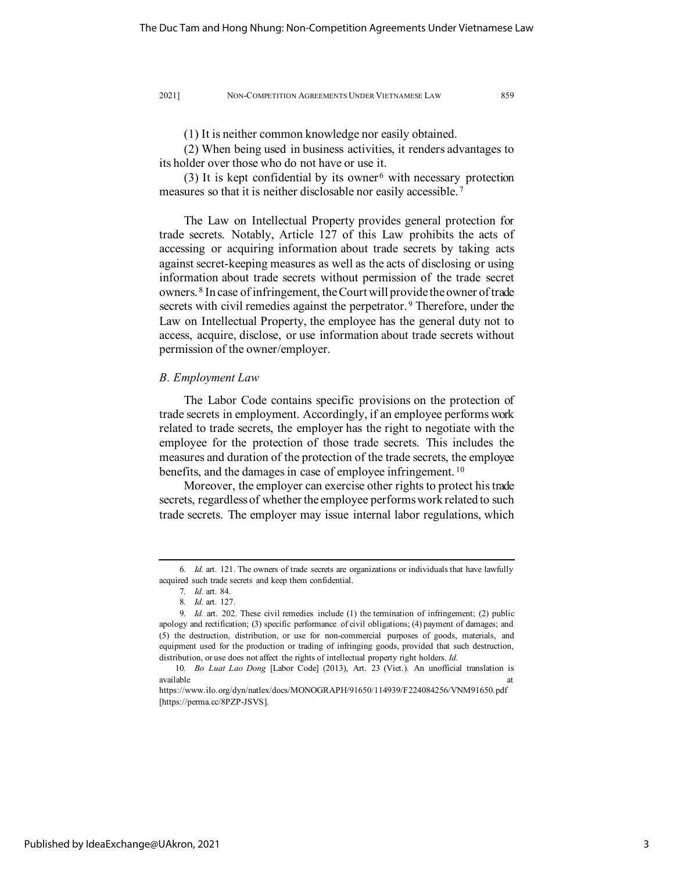(1) It is neither common knowledge nor easily obtained.

(2) When being used in business activities, it renders advantages to its holder over those who do not have or use it.

(3) It is kept confidential by its owner  $6$  with necessary protection measures so that it is neither disclosable nor easily accessible. [7](#page-3-1)

The Law on Intellectual Property provides general protection for trade secrets. Notably, Article 127 of this Law prohibits the acts of accessing or acquiring information about trade secrets by taking acts against secret-keeping measures as well as the acts of disclosing or using information about trade secrets without permission of the trade secret owners. [8](#page-3-2) In case of infringement, the Court will provide the owner of trade secrets with civil remedies against the perpetrator.<sup>[9](#page-3-3)</sup> Therefore, under the Law on Intellectual Property, the employee has the general duty not to access, acquire, disclose, or use information about trade secrets without permission of the owner/employer.

# *B. Employment Law*

The Labor Code contains specific provisions on the protection of trade secrets in employment. Accordingly, if an employee performs work related to trade secrets, the employer has the right to negotiate with the employee for the protection of those trade secrets. This includes the measures and duration of the protection of the trade secrets, the employee benefits, and the damages in case of employee infringement.<sup>[10](#page-3-4)</sup>

Moreover, the employer can exercise other rights to protect his trade secrets, regardless of whether the employee performs work related to such trade secrets. The employer may issue internal labor regulations, which

<span id="page-3-0"></span><sup>6</sup>*. Id.* art. 121. The owners of trade secrets are organizations or individuals that have lawfully acquired such trade secrets and keep them confidential.

<sup>7</sup>*. Id.* art. 84.

<sup>8</sup>*. Id.* art. 127.

<span id="page-3-3"></span><span id="page-3-2"></span><span id="page-3-1"></span><sup>9</sup>*. Id.* art. 202. These civil remedies include (1) the termination of infringement; (2) public apology and rectification; (3) specific performance of civil obligations; (4) payment of damages; and (5) the destruction, distribution, or use for non-commercial purposes of goods, materials, and equipment used for the production or trading of infringing goods, provided that such destruction, distribution, or use does not affect the rights of intellectual property right holders. *Id.*

<sup>10</sup>*. Bo Luat Lao Dong* [Labor Code] (2013), Art. 23 (Viet.). An unofficial translation is available at the contract of the contract of the contract of the contract of the contract of the contract of the contract of the contract of the contract of the contract of the contract of the contract of the contract of t

<span id="page-3-4"></span>https://www.ilo.org/dyn/natlex/docs/MONOGRAPH/91650/114939/F224084256/VNM91650.pdf [https://perma.cc/8PZP-JSVS].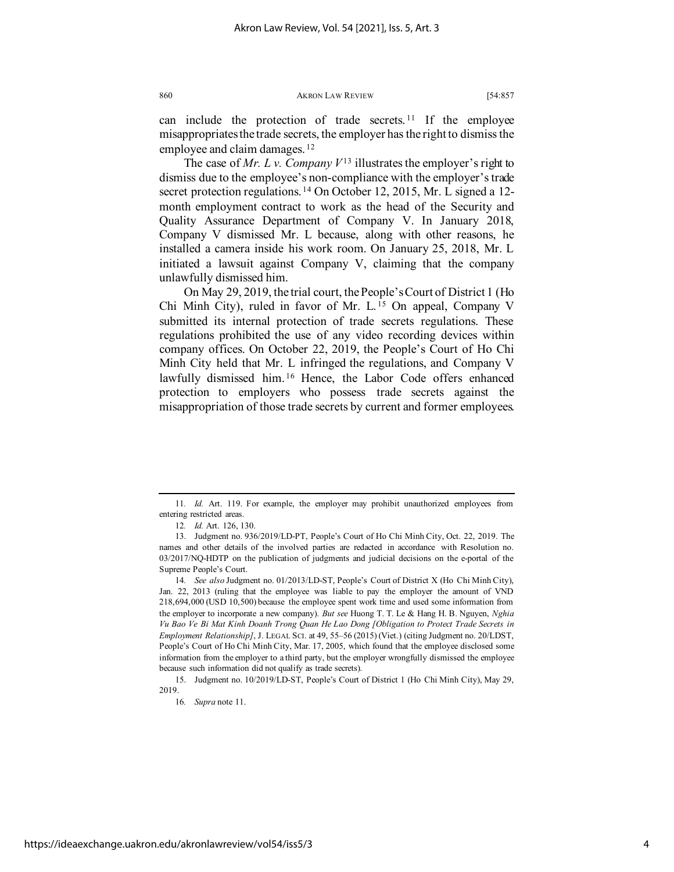can include the protection of trade secrets.<sup>[11](#page-4-0)</sup> If the employee misappropriates the trade secrets, the employer has the right to dismiss the employee and claim damages. [12](#page-4-1)

The case of  $Mr. L v. Company  $V^{13}$  illustrates the employer's right to$  $Mr. L v. Company  $V^{13}$  illustrates the employer's right to$  $Mr. L v. Company  $V^{13}$  illustrates the employer's right to$ dismiss due to the employee's non-compliance with the employer's trade secret protection regulations.<sup>[14](#page-4-3)</sup> On October 12, 2015, Mr. L signed a 12month employment contract to work as the head of the Security and Quality Assurance Department of Company V. In January 2018, Company V dismissed Mr. L because, along with other reasons, he installed a camera inside his work room. On January 25, 2018, Mr. L initiated a lawsuit against Company V, claiming that the company unlawfully dismissed him.

On May 29, 2019, the trial court, the People's Court of District 1 (Ho Chi Minh City), ruled in favor of Mr. L. [15](#page-4-4) On appeal, Company V submitted its internal protection of trade secrets regulations. These regulations prohibited the use of any video recording devices within company offices. On October 22, 2019, the People's Court of Ho Chi Minh City held that Mr. L infringed the regulations, and Company V lawfully dismissed him.<sup>[16](#page-4-5)</sup> Hence, the Labor Code offers enhanced protection to employers who possess trade secrets against the misappropriation of those trade secrets by current and former employees.

16*. Supra* note 11.

<span id="page-4-0"></span><sup>11</sup>*. Id.* Art. 119. For example, the employer may prohibit unauthorized employees from entering restricted areas.

<sup>12</sup>*. Id.* Art. 126, 130.

<span id="page-4-2"></span><span id="page-4-1"></span><sup>13.</sup> Judgment no. 936/2019/LD-PT, People's Court of Ho Chi Minh City, Oct. 22, 2019. The names and other details of the involved parties are redacted in accordance with Resolution no. 03/2017/NQ-HDTP on the publication of judgments and judicial decisions on the e-portal of the Supreme People's Court.

<span id="page-4-3"></span><sup>14</sup>*. See also* Judgment no. 01/2013/LD-ST, People's Court of District X (Ho Chi Minh City), Jan. 22, 2013 (ruling that the employee was liable to pay the employer the amount of VND 218,694,000 (USD 10,500) because the employee spent work time and used some information from the employer to incorporate a new company). *But see* Huong T. T. Le & Hang H. B. Nguyen, *Nghia Vu Bao Ve Bi Mat Kinh Doanh Trong Quan He Lao Dong [Obligation to Protect Trade Secrets in Employment Relationship]*, J. LEGAL SCI. at 49, 55–56 (2015) (Viet.) (citing Judgment no. 20/LDST, People's Court of Ho Chi Minh City, Mar. 17, 2005, which found that the employee disclosed some information from the employer to a third party, but the employer wrongfully dismissed the employee because such information did not qualify as trade secrets).

<span id="page-4-5"></span><span id="page-4-4"></span><sup>15.</sup> Judgment no. 10/2019/LD-ST, People's Court of District 1 (Ho Chi Minh City), May 29, 2019.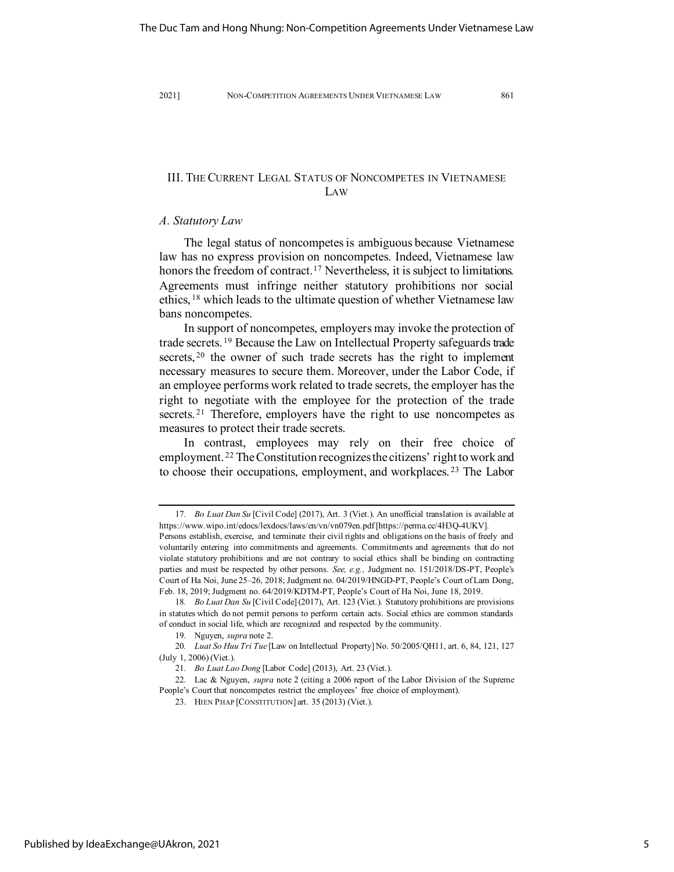# III. THE CURRENT LEGAL STATUS OF NONCOMPETES IN VIETNAMESE LAW

# *A. Statutory Law*

The legal status of noncompetes is ambiguous because Vietnamese law has no express provision on noncompetes. Indeed, Vietnamese law honors the freedom of contract.<sup>[17](#page-5-0)</sup> Nevertheless, it is subject to limitations. Agreements must infringe neither statutory prohibitions nor social ethics, [18](#page-5-1) which leads to the ultimate question of whether Vietnamese law bans noncompetes.

In support of noncompetes, employers may invoke the protection of trade secrets. [19](#page-5-2) Because the Law on Intellectual Property safeguards trade secrets, <sup>[20](#page-5-3)</sup> the owner of such trade secrets has the right to implement necessary measures to secure them. Moreover, under the Labor Code, if an employee performs work related to trade secrets, the employer has the right to negotiate with the employee for the protection of the trade secrets.<sup>[21](#page-5-4)</sup> Therefore, employers have the right to use noncompetes as measures to protect their trade secrets.

In contrast, employees may rely on their free choice of employment. [22](#page-5-5) The Constitution recognizes the citizens' right to work and to choose their occupations, employment, and workplaces. [23](#page-5-6) The Labor

<span id="page-5-0"></span><sup>17</sup>*. Bo Luat Dan Su* [Civil Code] (2017), Art. 3 (Viet.). An unofficial translation is available at https://www.wipo.int/edocs/lexdocs/laws/en/vn/vn079en.pdf [https://perma.cc/4H3Q-4UKV].

Persons establish, exercise, and terminate their civil rights and obligations on the basis of freely and voluntarily entering into commitments and agreements. Commitments and agreements that do not violate statutory prohibitions and are not contrary to social ethics shall be binding on contracting parties and must be respected by other persons. *See, e.g.,* Judgment no. 151/2018/DS-PT, People's Court of Ha Noi, June 25–26, 2018; Judgment no. 04/2019/HNGD-PT, People's Court of Lam Dong, Feb. 18, 2019; Judgment no. 64/2019/KDTM-PT, People's Court of Ha Noi, June 18, 2019.

<span id="page-5-1"></span><sup>18</sup>*. Bo Luat Dan Su* [Civil Code] (2017), Art. 123 (Viet.). Statutory prohibitions are provisions in statutes which do not permit persons to perform certain acts. Social ethics are common standards of conduct in social life, which are recognized and respected by the community.

<sup>19.</sup> Nguyen, *supra* note 2.

<span id="page-5-3"></span><span id="page-5-2"></span><sup>20</sup>*. Luat So Huu Tri Tue* [Law on Intellectual Property] No. 50/2005/QH11, art. 6, 84, 121, 127 (July 1, 2006) (Viet.).

<sup>21</sup>*. Bo Luat Lao Dong* [Labor Code] (2013), Art. 23 (Viet.).

<span id="page-5-6"></span><span id="page-5-5"></span><span id="page-5-4"></span><sup>22.</sup> Lac & Nguyen, *supra* note 2 (citing a 2006 report of the Labor Division of the Supreme People's Court that noncompetes restrict the employees' free choice of employment).

<sup>23.</sup> HIEN PHAP [CONSTITUTION] art. 35 (2013) (Viet.).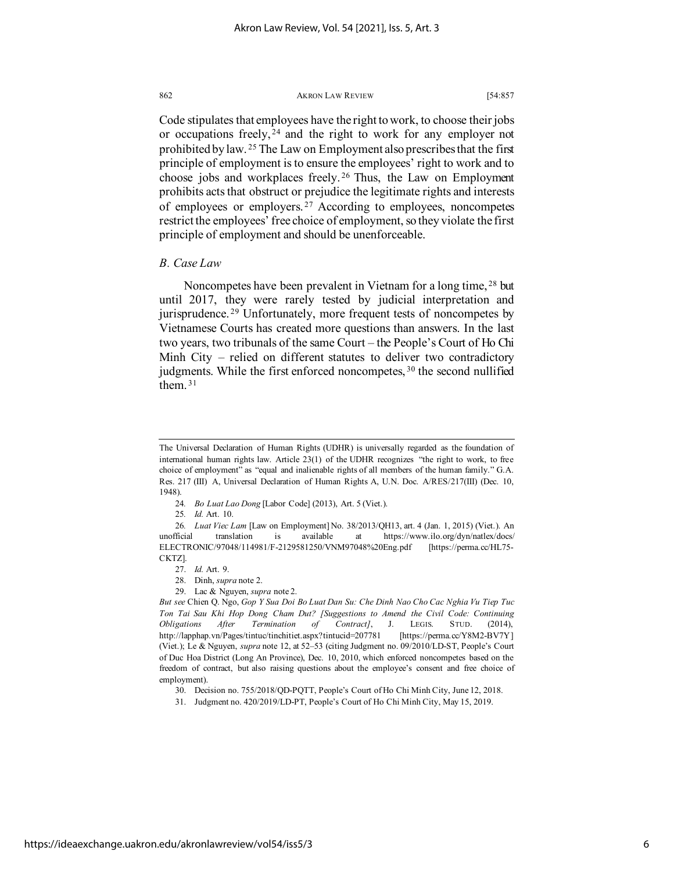Code stipulates that employees have the right to work, to choose their jobs or occupations freely, [24](#page-6-0) and the right to work for any employer not prohibited by law. [25](#page-6-1) The Law on Employment also prescribes that the first principle of employment is to ensure the employees' right to work and to choose jobs and workplaces freely. [26](#page-6-2) Thus, the Law on Employment prohibits acts that obstruct or prejudice the legitimate rights and interests of employees or employers. [27](#page-6-3) According to employees, noncompetes restrict the employees' free choice of employment, so they violate the first principle of employment and should be unenforceable.

# *B. Case Law*

Noncompetes have been prevalent in Vietnam for a long time, [28](#page-6-4) but until 2017, they were rarely tested by judicial interpretation and jurisprudence.<sup>[29](#page-6-5)</sup> Unfortunately, more frequent tests of noncompetes by Vietnamese Courts has created more questions than answers. In the last two years, two tribunals of the same Court – the People's Court of Ho Chi Minh City – relied on different statutes to deliver two contradictory judgments. While the first enforced noncompetes, [30](#page-6-6) the second nullified them.  $31$ 

- 24*. Bo Luat Lao Dong* [Labor Code] (2013), Art. 5 (Viet.).
- 25*. Id.* Art. 10.

<span id="page-6-2"></span><span id="page-6-1"></span><span id="page-6-0"></span>26*. Luat Viec Lam* [Law on Employment] No. 38/2013/QH13, art. 4 (Jan. 1, 2015) (Viet.). An unofficial translation is available at https://www.ilo.org/dyn/natlex/docs/ ELECTRONIC/97048/114981/F-2129581250/VNM97048%20Eng.pdf [https://perma.cc/HL75- CKTZ].

- 28. Dinh, *supra* note 2.
- 29. Lac & Nguyen, *supra* note 2.

<span id="page-6-5"></span><span id="page-6-4"></span><span id="page-6-3"></span>*But see* Chien Q. Ngo, *Gop Y Sua Doi Bo Luat Dan Su: Che Dinh Nao Cho Cac Nghia Vu Tiep Tuc Ton Tai Sau Khi Hop Dong Cham Dut? [Suggestions to Amend the Civil Code: Continuing Obligations After Termination of Contract]*, J. LEGIS. STUD. (2014), http://lapphap.vn/Pages/tintuc/tinchitiet.aspx?tintucid=207781 [https://perma.cc/Y8M2-BV7Y] (Viet.); Le & Nguyen, *supra* note 12, at 52–53 (citing Judgment no. 09/2010/LD-ST, People's Court of Duc Hoa District (Long An Province), Dec. 10, 2010, which enforced noncompetes based on the freedom of contract, but also raising questions about the employee's consent and free choice of employment).

The Universal Declaration of Human Rights (UDHR) is universally regarded as the foundation of international human rights law. Article 23(1) of the UDHR recognizes "the right to work, to free choice of employment" as "equal and inalienable rights of all members of the human family." G.A. Res. 217 (III) A, Universal Declaration of Human Rights A, U.N. Doc. A/RES/217(III) (Dec. 10, 1948).

<sup>27.</sup> *Id.* Art. 9.

<span id="page-6-6"></span><sup>30.</sup> Decision no. 755/2018/QD-PQTT, People's Court of Ho Chi Minh City, June 12, 2018.

<span id="page-6-7"></span><sup>31.</sup> Judgment no. 420/2019/LD-PT, People's Court of Ho Chi Minh City, May 15, 2019.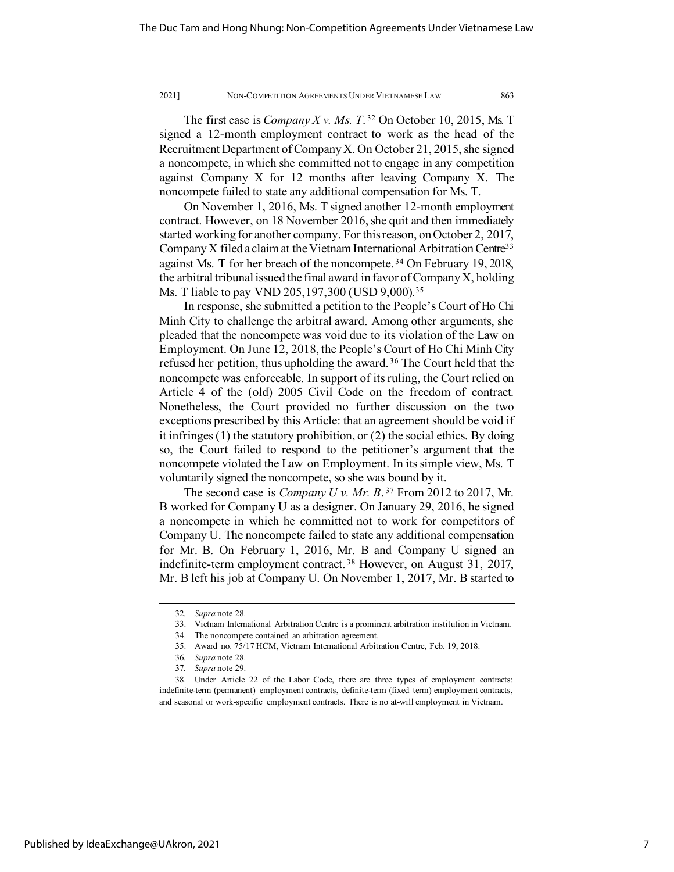The first case is *Company X v. Ms. T*. [32](#page-7-0) On October 10, 2015, Ms. T signed a 12-month employment contract to work as the head of the Recruitment Department of Company X. On October 21, 2015, she signed a noncompete, in which she committed not to engage in any competition against Company X for 12 months after leaving Company X. The noncompete failed to state any additional compensation for Ms. T.

On November 1, 2016, Ms. T signed another 12-month employment contract. However, on 18 November 2016, she quit and then immediately started working for another company. For this reason, on October 2, 2017, Company X filed a claim at the Vietnam International Arbitration Centre<sup>33</sup> against Ms. T for her breach of the noncompete.<sup>[34](#page-7-2)</sup> On February 19, 2018, the arbitral tribunal issued the final award in favor of Company X, holding Ms. T liable to pay VND 205, 197, 300 (USD 9,000).<sup>[35](#page-7-3)</sup>

In response, she submitted a petition to the People's Court of Ho Chi Minh City to challenge the arbitral award. Among other arguments, she pleaded that the noncompete was void due to its violation of the Law on Employment. On June 12, 2018, the People's Court of Ho Chi Minh City refused her petition, thus upholding the award.<sup>[36](#page-7-4)</sup> The Court held that the noncompete was enforceable. In support of its ruling, the Court relied on Article 4 of the (old) 2005 Civil Code on the freedom of contract. Nonetheless, the Court provided no further discussion on the two exceptions prescribed by this Article: that an agreement should be void if it infringes (1) the statutory prohibition, or (2) the social ethics. By doing so, the Court failed to respond to the petitioner's argument that the noncompete violated the Law on Employment. In its simple view, Ms. T voluntarily signed the noncompete, so she was bound by it.

The second case is *Company U v. Mr. B*. [37](#page-7-5) From 2012 to 2017, Mr. B worked for Company U as a designer. On January 29, 2016, he signed a noncompete in which he committed not to work for competitors of Company U. The noncompete failed to state any additional compensation for Mr. B. On February 1, 2016, Mr. B and Company U signed an indefinite-term employment contract. [38](#page-7-6) However, on August 31, 2017, Mr. B left his job at Company U. On November 1, 2017, Mr. B started to

Published by IdeaExchange@UAkron, 2021

<sup>32</sup>*. Supra* note 28.

<sup>33.</sup> Vietnam International Arbitration Centre is a prominent arbitration institution in Vietnam.

<sup>34.</sup> The noncompete contained an arbitration agreement.

<sup>35.</sup> Award no. 75/17 HCM, Vietnam International Arbitration Centre, Feb. 19, 2018.

<sup>36</sup>*. Supra* note 28.

<sup>37</sup>*. Supra* note 29.

<span id="page-7-6"></span><span id="page-7-5"></span><span id="page-7-4"></span><span id="page-7-3"></span><span id="page-7-2"></span><span id="page-7-1"></span><span id="page-7-0"></span><sup>38.</sup> Under Article 22 of the Labor Code, there are three types of employment contracts: indefinite-term (permanent) employment contracts, definite-term (fixed term) employment contracts, and seasonal or work-specific employment contracts. There is no at-will employment in Vietnam.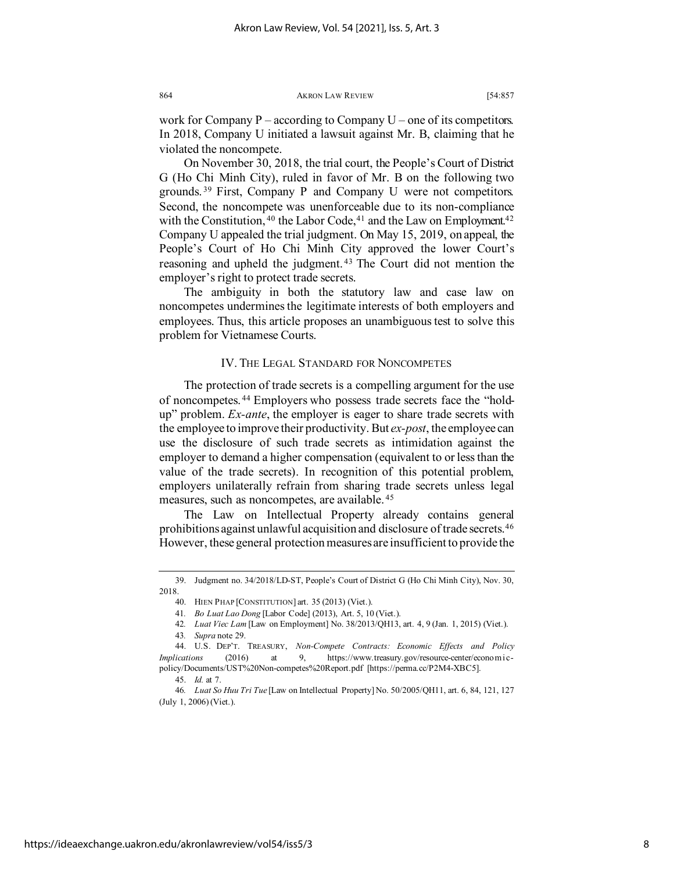work for Company  $P -$  according to Company  $U -$  one of its competitors. In 2018, Company U initiated a lawsuit against Mr. B, claiming that he violated the noncompete.

On November 30, 2018, the trial court, the People's Court of District G (Ho Chi Minh City), ruled in favor of Mr. B on the following two grounds. [39](#page-8-0) First, Company P and Company U were not competitors. Second, the noncompete was unenforceable due to its non-compliance with the Constitution,  $40$  the Labor Code,  $41$  and the Law on Employment.  $42$ Company U appealed the trial judgment. On May 15, 2019, on appeal, the People's Court of Ho Chi Minh City approved the lower Court's reasoning and upheld the judgment. [43](#page-8-4) The Court did not mention the employer's right to protect trade secrets.

The ambiguity in both the statutory law and case law on noncompetes undermines the legitimate interests of both employers and employees. Thus, this article proposes an unambiguous test to solve this problem for Vietnamese Courts.

# IV. THE LEGAL STANDARD FOR NONCOMPETES

The protection of trade secrets is a compelling argument for the use of noncompetes. [44](#page-8-5) Employers who possess trade secrets face the "holdup" problem. *Ex-ante*, the employer is eager to share trade secrets with the employee to improve their productivity. But *ex-post*, the employee can use the disclosure of such trade secrets as intimidation against the employer to demand a higher compensation (equivalent to or less than the value of the trade secrets). In recognition of this potential problem, employers unilaterally refrain from sharing trade secrets unless legal measures, such as noncompetes, are available. [45](#page-8-6)

The Law on Intellectual Property already contains general prohibitions against unlawful acquisition and disclosure of trade secrets.[46](#page-8-7) However, these general protection measures are insufficient to provide the

<span id="page-8-2"></span><span id="page-8-1"></span><span id="page-8-0"></span><sup>39.</sup> Judgment no. 34/2018/LD-ST, People's Court of District G (Ho Chi Minh City), Nov. 30, 2018.

<sup>40.</sup> HIEN PHAP [CONSTITUTION] art. 35 (2013) (Viet.).

<sup>41</sup>*. Bo Luat Lao Dong* [Labor Code] (2013), Art. 5, 10 (Viet.).

<sup>42</sup>*. Luat Viec Lam* [Law on Employment] No. 38/2013/QH13, art. 4, 9 (Jan. 1, 2015) (Viet.).

<sup>43</sup>*. Supra* note 29.

<span id="page-8-5"></span><span id="page-8-4"></span><span id="page-8-3"></span><sup>44.</sup> U.S. DEP'T. TREASURY, *Non-Compete Contracts: Economic Effects and Policy Implications* (2016) at 9, https://www.treasury.gov/resource-center/economicpolicy/Documents/UST%20Non-competes%20Report.pdf [https://perma.cc/P2M4-XBC5].

<sup>45.</sup> *Id.* at 7.

<span id="page-8-7"></span><span id="page-8-6"></span><sup>46</sup>*. Luat So Huu Tri Tue* [Law on Intellectual Property] No. 50/2005/QH11, art. 6, 84, 121, 127 (July 1, 2006) (Viet.).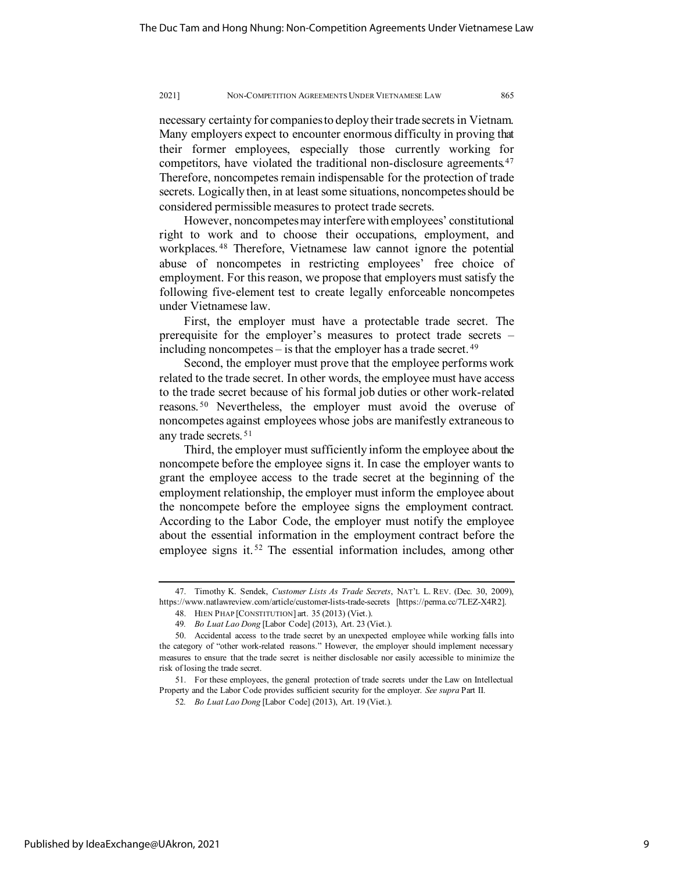necessary certainty for companies to deploy their trade secrets in Vietnam. Many employers expect to encounter enormous difficulty in proving that their former employees, especially those currently working for competitors, have violated the traditional non-disclosure agreements.<sup>[47](#page-9-0)</sup> Therefore, noncompetes remain indispensable for the protection of trade secrets. Logically then, in at least some situations, noncompetes should be considered permissible measures to protect trade secrets.

However, noncompetes may interfere with employees' constitutional right to work and to choose their occupations, employment, and workplaces. [48](#page-9-1) Therefore, Vietnamese law cannot ignore the potential abuse of noncompetes in restricting employees' free choice of employment. For this reason, we propose that employers must satisfy the following five-element test to create legally enforceable noncompetes under Vietnamese law.

First, the employer must have a protectable trade secret. The prerequisite for the employer's measures to protect trade secrets – including noncompetes – is that the employer has a trade secret. [49](#page-9-2)

Second, the employer must prove that the employee performs work related to the trade secret. In other words, the employee must have access to the trade secret because of his formal job duties or other work-related reasons. [50](#page-9-3) Nevertheless, the employer must avoid the overuse of noncompetes against employees whose jobs are manifestly extraneous to any trade secrets. [51](#page-9-4)

Third, the employer must sufficiently inform the employee about the noncompete before the employee signs it. In case the employer wants to grant the employee access to the trade secret at the beginning of the employment relationship, the employer must inform the employee about the noncompete before the employee signs the employment contract. According to the Labor Code, the employer must notify the employee about the essential information in the employment contract before the employee signs it.<sup>[52](#page-9-5)</sup> The essential information includes, among other

<span id="page-9-1"></span><span id="page-9-0"></span><sup>47.</sup> Timothy K. Sendek, *Customer Lists As Trade Secrets*, NAT'L L. REV. (Dec. 30, 2009), https://www.natlawreview.com/article/customer-lists-trade-secrets [https://perma.cc/7LEZ-X4R2].

<sup>48.</sup> HIEN PHAP [CONSTITUTION] art. 35 (2013) (Viet.).

<sup>49</sup>*. Bo Luat Lao Dong* [Labor Code] (2013), Art. 23 (Viet.).

<span id="page-9-3"></span><span id="page-9-2"></span><sup>50.</sup> Accidental access to the trade secret by an unexpected employee while working falls into the category of "other work-related reasons." However, the employer should implement necessary measures to ensure that the trade secret is neither disclosable nor easily accessible to minimize the risk of losing the trade secret.

<span id="page-9-5"></span><span id="page-9-4"></span><sup>51.</sup> For these employees, the general protection of trade secrets under the Law on Intellectual Property and the Labor Code provides sufficient security for the employer. *See supra* Part II.

<sup>52</sup>*. Bo Luat Lao Dong* [Labor Code] (2013), Art. 19 (Viet.).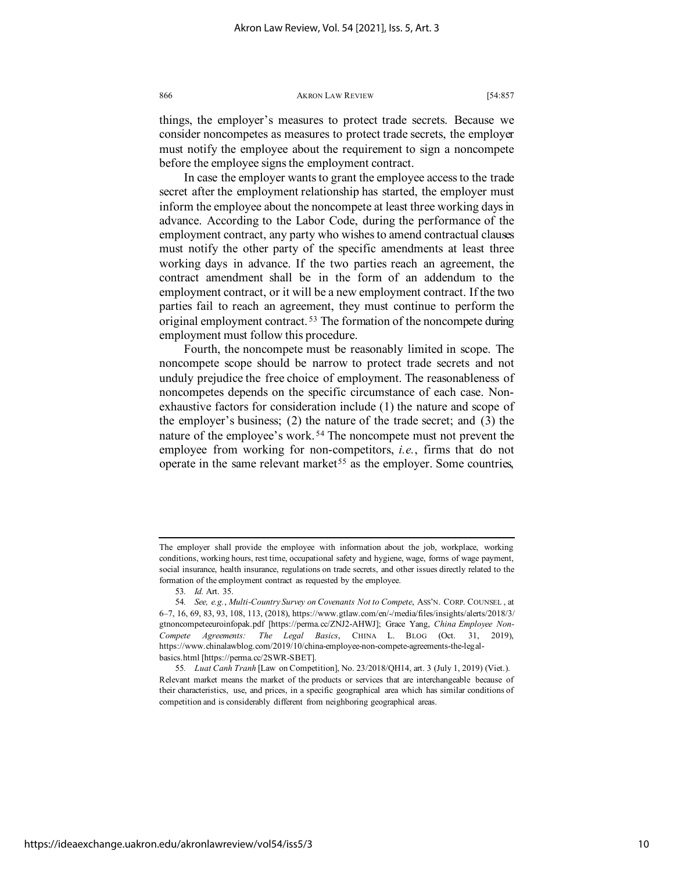things, the employer's measures to protect trade secrets. Because we consider noncompetes as measures to protect trade secrets, the employer must notify the employee about the requirement to sign a noncompete before the employee signs the employment contract.

In case the employer wants to grant the employee access to the trade secret after the employment relationship has started, the employer must inform the employee about the noncompete at least three working days in advance. According to the Labor Code, during the performance of the employment contract, any party who wishes to amend contractual clauses must notify the other party of the specific amendments at least three working days in advance. If the two parties reach an agreement, the contract amendment shall be in the form of an addendum to the employment contract, or it will be a new employment contract. If the two parties fail to reach an agreement, they must continue to perform the original employment contract. [53](#page-10-0) The formation of the noncompete during employment must follow this procedure.

Fourth, the noncompete must be reasonably limited in scope. The noncompete scope should be narrow to protect trade secrets and not unduly prejudice the free choice of employment. The reasonableness of noncompetes depends on the specific circumstance of each case. Nonexhaustive factors for consideration include (1) the nature and scope of the employer's business; (2) the nature of the trade secret; and (3) the nature of the employee's work. [54](#page-10-1) The noncompete must not prevent the employee from working for non-competitors, *i.e.*, firms that do not operate in the same relevant market<sup>[55](#page-10-2)</sup> as the employer. Some countries,

The employer shall provide the employee with information about the job, workplace, working conditions, working hours, rest time, occupational safety and hygiene, wage, forms of wage payment, social insurance, health insurance, regulations on trade secrets, and other issues directly related to the formation of the employment contract as requested by the employee.

<sup>53</sup>*. Id.* Art. 35.

<span id="page-10-1"></span><span id="page-10-0"></span><sup>54</sup>*. See, e.g.*, *Multi-Country Survey on Covenants Not to Compete*, ASS'N. CORP. COUNSEL , at 6–7, 16, 69, 83, 93, 108, 113, (2018), https://www.gtlaw.com/en/-/media/files/insights/alerts/2018/3/ gtnoncompeteeuroinfopak.pdf [https://perma.cc/ZNJ2-AHWJ]; Grace Yang, *China Employee Non-Compete Agreements: The Legal Basics*, CHINA L. BLOG (Oct. 31, 2019), https://www.chinalawblog.com/2019/10/china-employee-non-compete-agreements-the-legalbasics.html [https://perma.cc/2SWR-SBET].

<span id="page-10-2"></span><sup>55</sup>*. Luat Canh Tranh* [Law on Competition], No. 23/2018/QH14, art. 3 (July 1, 2019) (Viet.). Relevant market means the market of the products or services that are interchangeable because of their characteristics, use, and prices, in a specific geographical area which has similar conditions of competition and is considerably different from neighboring geographical areas.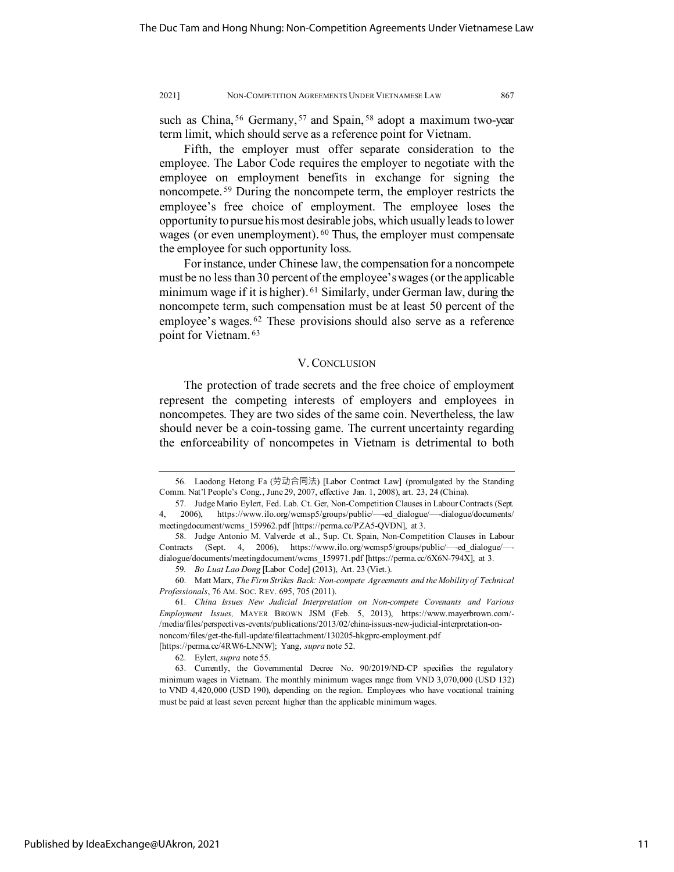such as China,  $56$  Germany,  $57$  and Spain,  $58$  adopt a maximum two-year term limit, which should serve as a reference point for Vietnam.

Fifth, the employer must offer separate consideration to the employee. The Labor Code requires the employer to negotiate with the employee on employment benefits in exchange for signing the noncompete. [59](#page-11-3) During the noncompete term, the employer restricts the employee's free choice of employment. The employee loses the opportunity to pursue his most desirable jobs, which usually leads to lower wages (or even unemployment). <sup>[60](#page-11-4)</sup> Thus, the employer must compensate the employee for such opportunity loss.

For instance, under Chinese law, the compensation for a noncompete must be no less than 30 percent of the employee's wages (or the applicable minimum wage if it is higher). <sup>[61](#page-11-5)</sup> Similarly, under German law, during the noncompete term, such compensation must be at least 50 percent of the employee's wages. [62](#page-11-6) These provisions should also serve as a reference point for Vietnam. [63](#page-11-7)

# V. CONCLUSION

The protection of trade secrets and the free choice of employment represent the competing interests of employers and employees in noncompetes. They are two sides of the same coin. Nevertheless, the law should never be a coin-tossing game. The current uncertainty regarding the enforceability of noncompetes in Vietnam is detrimental to both

<span id="page-11-0"></span><sup>56.</sup> Laodong Hetong Fa (劳动合同法) [Labor Contract Law] (promulgated by the Standing Comm. Nat'l People's Cong., June 29, 2007, effective Jan. 1, 2008), art. 23, 24 (China).

<span id="page-11-1"></span><sup>57.</sup> Judge Mario Eylert, Fed. Lab. Ct. Ger, Non-Competition Clauses in Labour Contracts (Sept. 4, 2006), https://www.ilo.org/wcmsp5/groups/public/—-ed\_dialogue/—-dialogue/documents/ meetingdocument/wcms\_159962.pdf [https://perma.cc/PZA5-QVDN], at 3.

<span id="page-11-2"></span><sup>58.</sup> Judge Antonio M. Valverde et al., Sup. Ct. Spain, Non-Competition Clauses in Labour Contracts (Sept. 4, 2006), https://www.ilo.org/wcmsp5/groups/public/—-ed\_dialogue/— dialogue/documents/meetingdocument/wcms\_159971.pdf [https://perma.cc/6X6N-794X], at 3.

<sup>59</sup>*. Bo Luat Lao Dong* [Labor Code] (2013), Art. 23 (Viet.).

<span id="page-11-4"></span><span id="page-11-3"></span><sup>60.</sup> Matt Marx, *The Firm Strikes Back: Non-compete Agreements and the Mobility of Technical Professionals*, 76 AM. SOC. REV. 695, 705 (2011).

<span id="page-11-5"></span><sup>61.</sup> *China Issues New Judicial Interpretation on Non-compete Covenants and Various Employment Issues,* MAYER BROWN JSM (Feb. 5, 2013), https://www.mayerbrown.com/- /media/files/perspectives-events/publications/2013/02/china-issues-new-judicial-interpretation-onnoncom/files/get-the-full-update/fileattachment/130205-hkgprc-employment.pdf [https://perma.cc/4RW6-LNNW]; Yang, *supra* note 52.

<sup>62.</sup> Eylert, *supra* note 55.

<span id="page-11-7"></span><span id="page-11-6"></span><sup>63.</sup> Currently, the Governmental Decree No. 90/2019/ND-CP specifies the regulatory minimum wages in Vietnam. The monthly minimum wages range from VND 3,070,000 (USD 132) to VND 4,420,000 (USD 190), depending on the region. Employees who have vocational training must be paid at least seven percent higher than the applicable minimum wages.